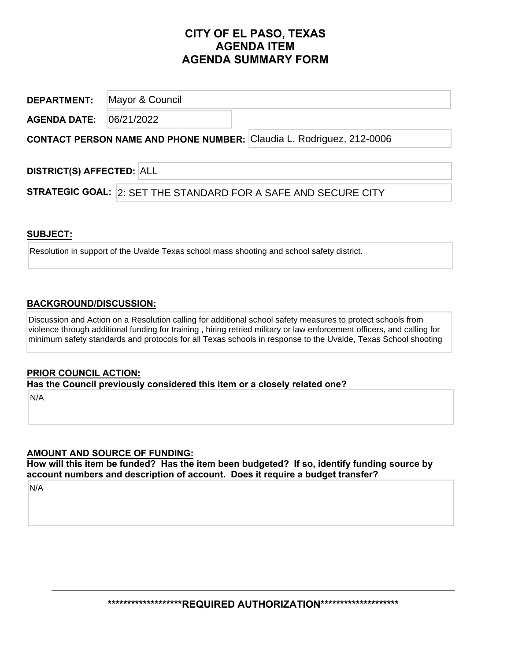# **CITY OF EL PASO, TEXAS AGENDA ITEM AGENDA SUMMARY FORM**

**DEPARTMENT: AGENDA DATE: CONTACT PERSON NAME AND PHONE NUMBER:**  Claudia L. Rodriguez, 212-0006 Mayor & Council 06/21/2022

**DISTRICT(S) AFFECTED:**  ALL

**STRATEGIC GOAL:** 2: SET THE STANDARD FOR A SAFE AND SECURE CITY

#### **SUBJECT:**

Resolution in support of the Uvalde Texas school mass shooting and school safety district.

### **BACKGROUND/DISCUSSION:**

Discussion and Action on a Resolution calling for additional school safety measures to protect schools from violence through additional funding for training , hiring retried military or law enforcement officers, and calling for minimum safety standards and protocols for all Texas schools in response to the Uvalde, Texas School shooting

#### **PRIOR COUNCIL ACTION:**

**Has the Council previously considered this item or a closely related one?** 

N/A

## **AMOUNT AND SOURCE OF FUNDING:**

**How will this item be funded? Has the item been budgeted? If so, identify funding source by account numbers and description of account. Does it require a budget transfer?** 

N/A

**\*\*\*\*\*\*\*\*\*\*\*\*\*\*\*\*\*\*\*REQUIRED AUTHORIZATION\*\*\*\*\*\*\*\*\*\*\*\*\*\*\*\*\*\*\*\*** 

 $\_$  , and the contribution of the contribution of the contribution of the contribution of  $\mathcal{L}_\mathbf{z}$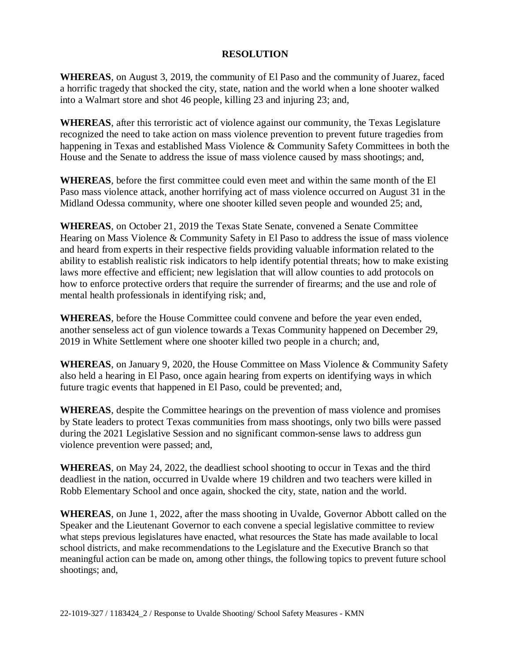#### **RESOLUTION**

**WHEREAS**, on August 3, 2019, the community of El Paso and the community of Juarez, faced a horrific tragedy that shocked the city, state, nation and the world when a lone shooter walked into a Walmart store and shot 46 people, killing 23 and injuring 23; and,

**WHEREAS**, after this terroristic act of violence against our community, the Texas Legislature recognized the need to take action on mass violence prevention to prevent future tragedies from happening in Texas and established Mass Violence & Community Safety Committees in both the House and the Senate to address the issue of mass violence caused by mass shootings; and,

**WHEREAS**, before the first committee could even meet and within the same month of the El Paso mass violence attack, another horrifying act of mass violence occurred on August 31 in the Midland Odessa community, where one shooter killed seven people and wounded 25; and,

**WHEREAS**, on October 21, 2019 the Texas State Senate, convened a Senate Committee Hearing on Mass Violence & Community Safety in El Paso to address the issue of mass violence and heard from experts in their respective fields providing valuable information related to the ability to establish realistic risk indicators to help identify potential threats; how to make existing laws more effective and efficient; new legislation that will allow counties to add protocols on how to enforce protective orders that require the surrender of firearms; and the use and role of mental health professionals in identifying risk; and,

**WHEREAS**, before the House Committee could convene and before the year even ended, another senseless act of gun violence towards a Texas Community happened on December 29, 2019 in White Settlement where one shooter killed two people in a church; and,

**WHEREAS**, on January 9, 2020, the House Committee on Mass Violence & Community Safety also held a hearing in El Paso, once again hearing from experts on identifying ways in which future tragic events that happened in El Paso, could be prevented; and,

**WHEREAS**, despite the Committee hearings on the prevention of mass violence and promises by State leaders to protect Texas communities from mass shootings, only two bills were passed during the 2021 Legislative Session and no significant common-sense laws to address gun violence prevention were passed; and,

**WHEREAS**, on May 24, 2022, the deadliest school shooting to occur in Texas and the third deadliest in the nation, occurred in Uvalde where 19 children and two teachers were killed in Robb Elementary School and once again, shocked the city, state, nation and the world.

**WHEREAS**, on June 1, 2022, after the mass shooting in Uvalde, Governor Abbott called on the Speaker and the Lieutenant Governor to each convene a special legislative committee to review what steps previous legislatures have enacted, what resources the State has made available to local school districts, and make recommendations to the Legislature and the Executive Branch so that meaningful action can be made on, among other things, the following topics to prevent future school shootings; and,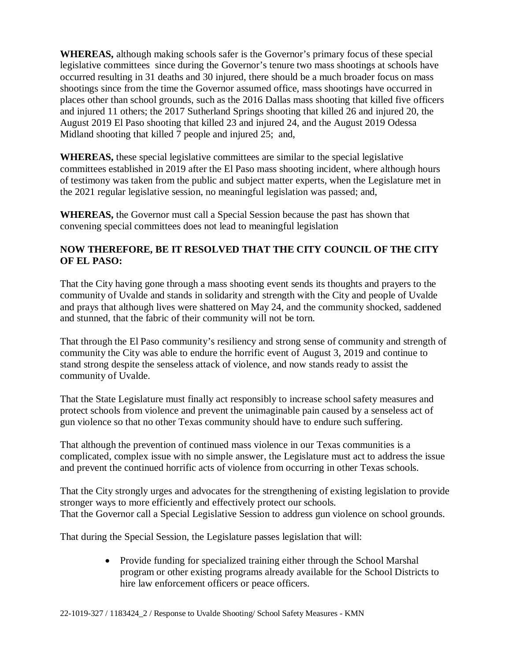**WHEREAS,** although making schools safer is the Governor's primary focus of these special legislative committees since during the Governor's tenure two mass shootings at schools have occurred resulting in 31 deaths and 30 injured, there should be a much broader focus on mass shootings since from the time the Governor assumed office, mass shootings have occurred in places other than school grounds, such as the 2016 Dallas mass shooting that killed five officers and injured 11 others; the 2017 Sutherland Springs shooting that killed 26 and injured 20, the August 2019 El Paso shooting that killed 23 and injured 24, and the August 2019 Odessa Midland shooting that killed 7 people and injured 25; and,

**WHEREAS,** these special legislative committees are similar to the special legislative committees established in 2019 after the El Paso mass shooting incident, where although hours of testimony was taken from the public and subject matter experts, when the Legislature met in the 2021 regular legislative session, no meaningful legislation was passed; and,

**WHEREAS,** the Governor must call a Special Session because the past has shown that convening special committees does not lead to meaningful legislation

### **NOW THEREFORE, BE IT RESOLVED THAT THE CITY COUNCIL OF THE CITY OF EL PASO:**

That the City having gone through a mass shooting event sends its thoughts and prayers to the community of Uvalde and stands in solidarity and strength with the City and people of Uvalde and prays that although lives were shattered on May 24, and the community shocked, saddened and stunned, that the fabric of their community will not be torn.

That through the El Paso community's resiliency and strong sense of community and strength of community the City was able to endure the horrific event of August 3, 2019 and continue to stand strong despite the senseless attack of violence, and now stands ready to assist the community of Uvalde.

That the State Legislature must finally act responsibly to increase school safety measures and protect schools from violence and prevent the unimaginable pain caused by a senseless act of gun violence so that no other Texas community should have to endure such suffering.

That although the prevention of continued mass violence in our Texas communities is a complicated, complex issue with no simple answer, the Legislature must act to address the issue and prevent the continued horrific acts of violence from occurring in other Texas schools.

That the City strongly urges and advocates for the strengthening of existing legislation to provide stronger ways to more efficiently and effectively protect our schools. That the Governor call a Special Legislative Session to address gun violence on school grounds.

That during the Special Session, the Legislature passes legislation that will:

• Provide funding for specialized training either through the School Marshal program or other existing programs already available for the School Districts to hire law enforcement officers or peace officers.